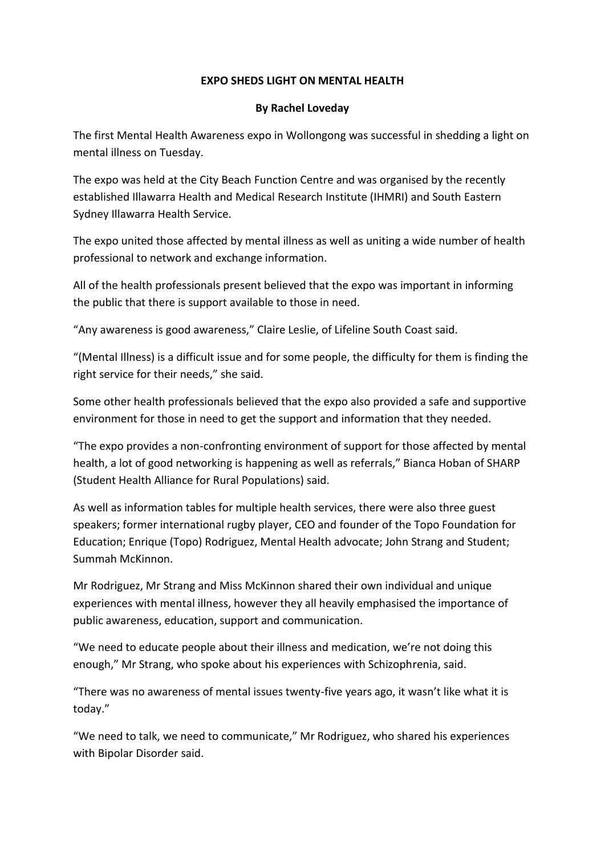## **EXPO SHEDS LIGHT ON MENTAL HEALTH**

## **By Rachel Loveday**

The first Mental Health Awareness expo in Wollongong was successful in shedding a light on mental illness on Tuesday.

The expo was held at the City Beach Function Centre and was organised by the recently established Illawarra Health and Medical Research Institute (IHMRI) and South Eastern Sydney Illawarra Health Service.

The expo united those affected by mental illness as well as uniting a wide number of health professional to network and exchange information.

All of the health professionals present believed that the expo was important in informing the public that there is support available to those in need.

"Any awareness is good awareness," Claire Leslie, of Lifeline South Coast said.

"(Mental Illness) is a difficult issue and for some people, the difficulty for them is finding the right service for their needs," she said.

Some other health professionals believed that the expo also provided a safe and supportive environment for those in need to get the support and information that they needed.

"The expo provides a non-confronting environment of support for those affected by mental health, a lot of good networking is happening as well as referrals," Bianca Hoban of SHARP (Student Health Alliance for Rural Populations) said.

As well as information tables for multiple health services, there were also three guest speakers; former international rugby player, CEO and founder of the Topo Foundation for Education; Enrique (Topo) Rodriguez, Mental Health advocate; John Strang and Student; Summah McKinnon.

Mr Rodriguez, Mr Strang and Miss McKinnon shared their own individual and unique experiences with mental illness, however they all heavily emphasised the importance of public awareness, education, support and communication.

"We need to educate people about their illness and medication, we're not doing this enough," Mr Strang, who spoke about his experiences with Schizophrenia, said.

"There was no awareness of mental issues twenty-five years ago, it wasn't like what it is today."

"We need to talk, we need to communicate," Mr Rodriguez, who shared his experiences with Bipolar Disorder said.